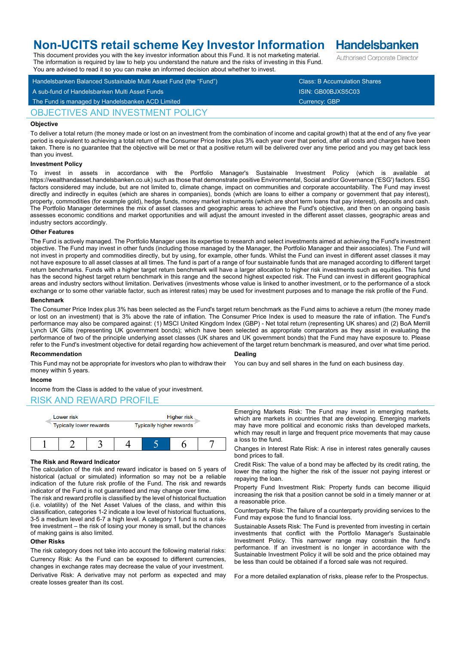# **Non-UCITS retail scheme Key Investor Information**

This document provides you with the key investor information about this Fund. It is not marketing material. The information is required by law to help you understand the nature and the risks of investing in this Fund.

Handelsbanken Balanced Sustainable Multi Asset Fund (the "Fund") Class: B Accumulation Shares A sub-fund of Handelsbanken Multi Asset Funds ISIN: GB00BJXS5C03 You are advised to read it so you can make an informed decision about whether to invest.

The Fund is managed by Handelsbanken ACD Limited Currency: GBP Currency: GBP

## OBJECTIVES AND INVESTMENT POLICY

## **Objective**

To deliver a total return (the money made or lost on an investment from the combination of income and capital growth) that at the end of any five year period is equivalent to achieving a total return of the Consumer Price Index plus 3% each year over that period, after all costs and charges have been taken. There is no guarantee that the objective will be met or that a positive return will be delivered over any time period and you may get back less than you invest.

### **Investment Policy**

To invest in assets in accordance with the Portfolio Manager's Sustainable Investment Policy (which is available https://wealthandasset.handelsbanken.co.uk) such as those that demonstrate positive Environmental, Social and/or Governance ('ESG') factors. ESG factors considered may include, but are not limited to, climate change, impact on communities and corporate accountability. The Fund may invest directly and indirectly in equites (which are shares in companies), bonds (which are loans to either a company or government that pay interest), property, commodities (for example gold), hedge funds, money market instruments (which are short term loans that pay interest), deposits and cash. The Portfolio Manager determines the mix of asset classes and geographic areas to achieve the Fund's objective, and then on an ongoing basis assesses economic conditions and market opportunities and will adjust the amount invested in the different asset classes, geographic areas and industry sectors accordingly.

### **Other Features**

The Fund is actively managed. The Portfolio Manager uses its expertise to research and select investments aimed at achieving the Fund's investment objective. The Fund may invest in other funds (including those managed by the Manager, the Portfolio Manager and their associates). The Fund will not invest in property and commodities directly, but by using, for example, other funds. Whilst the Fund can invest in different asset classes it may not have exposure to all asset classes at all times. The fund is part of a range of four sustainable funds that are managed according to different target return benchmarks. Funds with a higher target return benchmark will have a larger allocation to higher risk investments such as equities. This fund has the second highest target return benchmark in this range and the second highest expected risk. The Fund can invest in different geographical areas and industry sectors without limitation. Derivatives (investments whose value is linked to another investment, or to the performance of a stock exchange or to some other variable factor, such as interest rates) may be used for investment purposes and to manage the risk profile of the Fund.

### **Benchmark**

The Consumer Price Index plus 3% has been selected as the Fund's target return benchmark as the Fund aims to achieve a return (the money made or lost on an investment) that is 3% above the rate of inflation. The Consumer Price Index is used to measure the rate of inflation. The Fund's performance may also be compared against: (1) MSCI United Kingdom Index (GBP) - Net total return (representing UK shares) and (2) BoA Merrill Lynch UK Gilts (representing UK government bonds); which have been selected as appropriate comparators as they assist in evaluating the performance of two of the principle underlying asset classes (UK shares and UK government bonds) that the Fund may have exposure to. Please refer to the Fund's investment objective for detail regarding how achievement of the target return benchmark is measured, and over what time period.

### **Recommendation**

**Dealing**

You can buy and sell shares in the fund on each business day.

## This Fund may not be appropriate for investors who plan to withdraw their money within 5 years.

## **Income**

Income from the Class is added to the value of your investment.

## RISK AND REWARD PROFILE



### **The Risk and Reward Indicator**

The calculation of the risk and reward indicator is based on 5 years of historical (actual or simulated) information so may not be a reliable indication of the future risk profile of the Fund. The risk and rewards indicator of the Fund is not guaranteed and may change over time.

The risk and reward profile is classified by the level of historical fluctuation (i.e. volatility) of the Net Asset Values of the class, and within this classification, categories 1-2 indicate a low level of historical fluctuations, 3-5 a medium level and 6-7 a high level. A category 1 fund is not a riskfree investment – the risk of losing your money is small, but the chances of making gains is also limited.

### **Other Risks**

The risk category does not take into account the following material risks: Currency Risk: As the Fund can be exposed to different currencies, changes in exchange rates may decrease the value of your investment.

Derivative Risk: A derivative may not perform as expected and may create losses greater than its cost.

Emerging Markets Risk: The Fund may invest in emerging markets, which are markets in countries that are developing. Emerging markets may have more political and economic risks than developed markets, which may result in large and frequent price movements that may cause a loss to the fund.

Changes in Interest Rate Risk: A rise in interest rates generally causes bond prices to fall.

Credit Risk: The value of a bond may be affected by its credit rating, the lower the rating the higher the risk of the issuer not paying interest or repaying the loan.

Property Fund Investment Risk: Property funds can become illiquid increasing the risk that a position cannot be sold in a timely manner or at a reasonable price.

Counterparty Risk: The failure of a counterparty providing services to the Fund may expose the fund to financial loss.

Sustainable Assets Risk: The Fund is prevented from investing in certain investments that conflict with the Portfolio Manager's Sustainable Investment Policy. This narrower range may constrain the fund's performance. If an investment is no longer in accordance with the Sustainable Investment Policy it will be sold and the price obtained may be less than could be obtained if a forced sale was not required.

For a more detailed explanation of risks, please refer to the Prospectus.

**Handelsbanken** Authorised Corporate Director